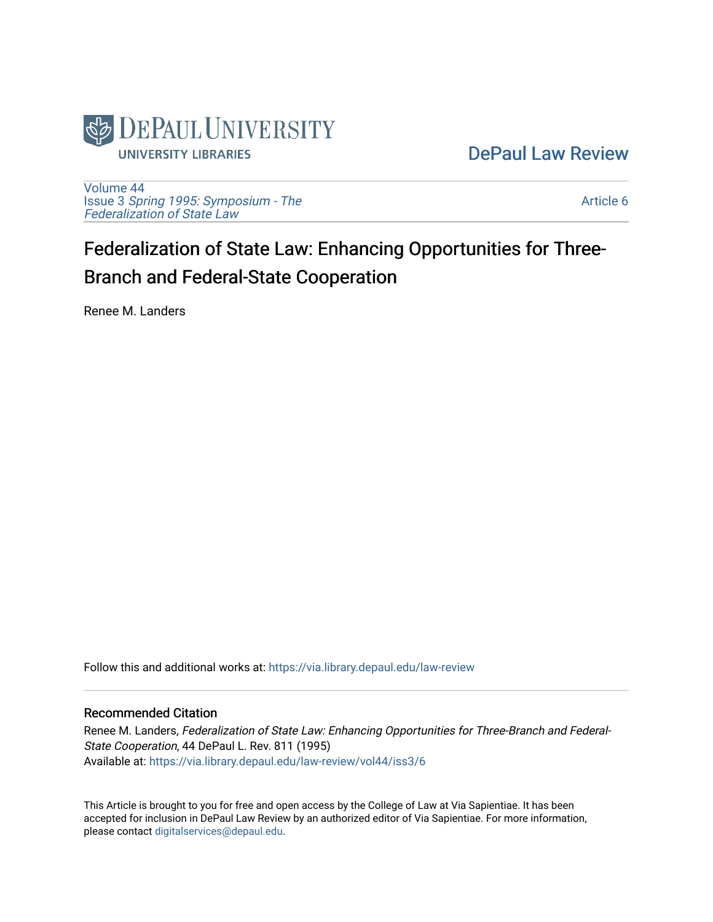

## [DePaul Law Review](https://via.library.depaul.edu/law-review)

[Volume 44](https://via.library.depaul.edu/law-review/vol44) Issue 3 [Spring 1995: Symposium - The](https://via.library.depaul.edu/law-review/vol44/iss3)  [Federalization of State Law](https://via.library.depaul.edu/law-review/vol44/iss3) 

[Article 6](https://via.library.depaul.edu/law-review/vol44/iss3/6) 

# Federalization of State Law: Enhancing Opportunities for Three-Branch and Federal-State Cooperation

Renee M. Landers

Follow this and additional works at: [https://via.library.depaul.edu/law-review](https://via.library.depaul.edu/law-review?utm_source=via.library.depaul.edu%2Flaw-review%2Fvol44%2Fiss3%2F6&utm_medium=PDF&utm_campaign=PDFCoverPages) 

### Recommended Citation

Renee M. Landers, Federalization of State Law: Enhancing Opportunities for Three-Branch and Federal-State Cooperation, 44 DePaul L. Rev. 811 (1995) Available at: [https://via.library.depaul.edu/law-review/vol44/iss3/6](https://via.library.depaul.edu/law-review/vol44/iss3/6?utm_source=via.library.depaul.edu%2Flaw-review%2Fvol44%2Fiss3%2F6&utm_medium=PDF&utm_campaign=PDFCoverPages) 

This Article is brought to you for free and open access by the College of Law at Via Sapientiae. It has been accepted for inclusion in DePaul Law Review by an authorized editor of Via Sapientiae. For more information, please contact [digitalservices@depaul.edu.](mailto:digitalservices@depaul.edu)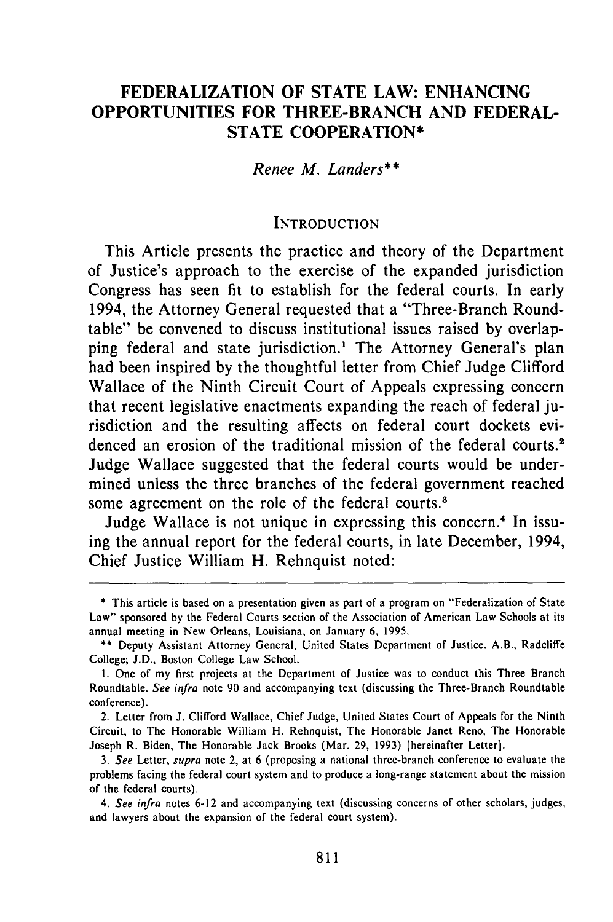## **FEDERALIZATION OF STATE LAW: ENHANCING OPPORTUNITIES FOR THREE-BRANCH AND FEDERAL-STATE COOPERATION\***

*Renee M. Landers\*\**

#### **INTRODUCTION**

This Article presents the practice and theory of the Department of Justice's approach to the exercise of the expanded jurisdiction Congress has seen fit to establish for the federal courts. In early 1994, the Attorney General requested that a "Three-Branch Roundtable" be convened to discuss institutional issues raised **by** overlapping federal and state jurisdiction.' The Attorney General's plan had been inspired **by** the thoughtful letter from Chief Judge Clifford Wallace of the Ninth Circuit Court of Appeals expressing concern that recent legislative enactments expanding the reach of federal jurisdiction and the resulting affects on federal court dockets evidenced an erosion of the traditional mission of the federal courts.<sup>2</sup> Judge Wallace suggested that the federal courts would be undermined unless the three branches of the federal government reached some agreement on the role of the federal courts.<sup>3</sup>

Judge Wallace is not unique in expressing this concern.<sup>4</sup> In issuing the annual report for the federal courts, in late December, 1994, Chief Justice William H. Rehnquist noted:

**<sup>\*</sup>** This article is based on a presentation given as part of a program on "Federalization of State Law" sponsored **by** the Federal Courts section of the Association of American Law Schools at its annual meeting in New Orleans, Louisiana, on January **6, 1995.**

**<sup>\*\*</sup>** Deputy Assistant Attorney General, United States Department of Justice. A.B., Radcliffe College; **J.D.,** Boston College Law School.

**I.** One of my first projects at the Department of Justice was to conduct this Three Branch Roundtable. **See infra** note **90** and accompanying text (discussing the Three-Branch Roundtable conference).

<sup>2.</sup> Letter from **J.** Clifford Wallace, Chief Judge, United States Court of Appeals for the Ninth Circuit, to The Honorable William H. Rehnquist, The Honorable Janet Reno, The Honorable Joseph R. Biden, The Honorable Jack Brooks (Mar. **29, 1993)** [hereinafter Letter].

*<sup>3.</sup>* **See** Letter, **supra** note 2, at **6** (proposing a national three-branch conference to evaluate the problems facing the federal court system and to produce a long-range statement about the mission of the federal courts).

*<sup>4.</sup>* **See infra** notes **6-12** and accompanying text (discussing concerns of other scholars, judges, and lawyers about the expansion of the federal court system).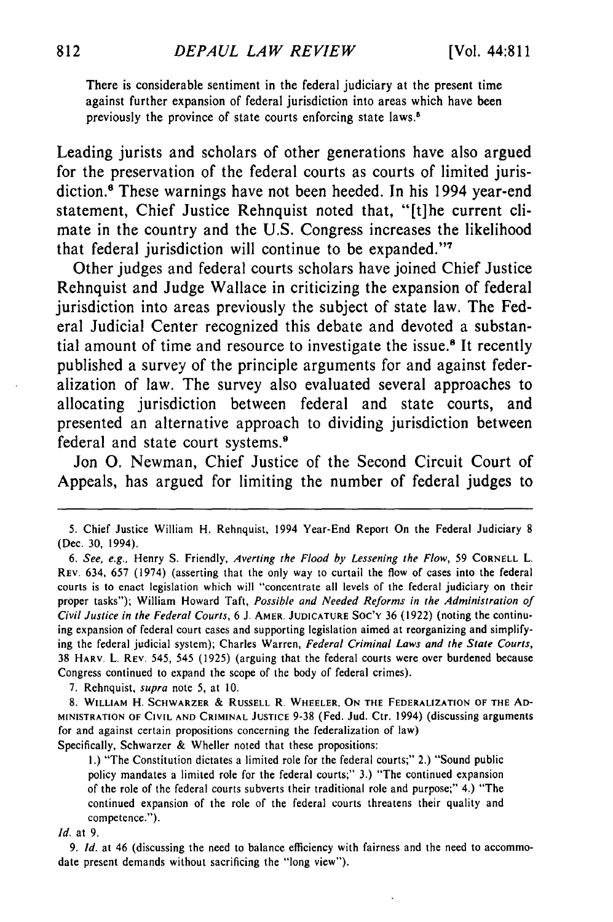There is considerable sentiment in the federal judiciary at the present time against further expansion of federal jurisdiction into areas which have been previously the province of state courts enforcing state laws.<sup>5</sup>

Leading jurists and scholars of other generations have also argued for the preservation of the federal courts as courts of limited jurisdiction.<sup>8</sup> These warnings have not been heeded. In his 1994 year-end statement, Chief Justice Rehnquist noted that, "[t]he current climate in the country and the **U.S.** Congress increases the likelihood that federal jurisdiction will continue to be expanded."<sup>7</sup>

Other judges and federal courts scholars have joined Chief Justice Rehnquist and Judge Wallace in criticizing the expansion of federal jurisdiction into areas previously the subject of state law. The Federal Judicial Center recognized this debate and devoted a substantial amount of time and resource to investigate the issue.<sup>8</sup> It recently published a survey of the principle arguments for and against federalization of law. The survey also evaluated several approaches to allocating jurisdiction between federal and state courts, and presented an alternative approach to dividing jurisdiction between federal and state court systems. <sup>9</sup>

Jon **0.** Newman, Chief Justice of the Second Circuit Court of Appeals, has argued for limiting the number of federal judges to

7. Rehnquist, supra note 5, at 10.

**8.** WILLIAM H. SCHWARZER **& RUSSELL** R. WHEELER, **ON THE** FEDERALIZATION OF **THE AD-MINISTRATION OF CIVIL AND** CRIMINAL **JUSTICE** 9-38 (Fed. Jud. Ctr. 1994) (discussing arguments for and against certain propositions concerning the federalization of law) Specifically, Schwarzer & Wheller noted that these propositions:

**1.)** "The Constitution dictates a limited role for the federal courts;" 2.) "Sound public policy mandates a limited role for the federal courts;" 3.) "The continued expansion of the role of the federal courts subverts their traditional role and purpose;" 4.) "The continued expansion of the role of the federal courts threatens their quality and competence.").

*Id.* at 9.

9. Id. at 46 (discussing the need to balance efficiency with fairness and the need to accommodate present demands without sacrificing the "long view").

<sup>5.</sup> Chief Justice William H. Rehnquist, 1994 Year-End Report On the Federal Judiciary 8 (Dec. 30, 1994).

*<sup>6.</sup> See, e.g.,* Henry **S.** Friendly, *Averting the Flood by Lessening the Flow,* 59 CORNELL L. REV. 634, 657 (1974) (asserting that the only way to curtail the flow of cases into the federal courts is to enact legislation which will "concentrate all levels of the federal judiciary on their proper tasks"); William Howard Taft, *Possible and Needed Reforms in the Administration of Civil Justice in the Federal* Courts, 6 **J.** AMER. **JUDICATURE** Soc'y **36** (1922) (noting the continuing expansion of federal court cases and supporting legislation aimed at reorganizing and simplifying the federal judicial system); Charles Warren, Federal Criminal Laws and the State Courts, 38 HARV, L. REV, 545, 545 (1925) (arguing that the federal courts were over burdened because Congress continued to expand the scope of the body of federal crimes).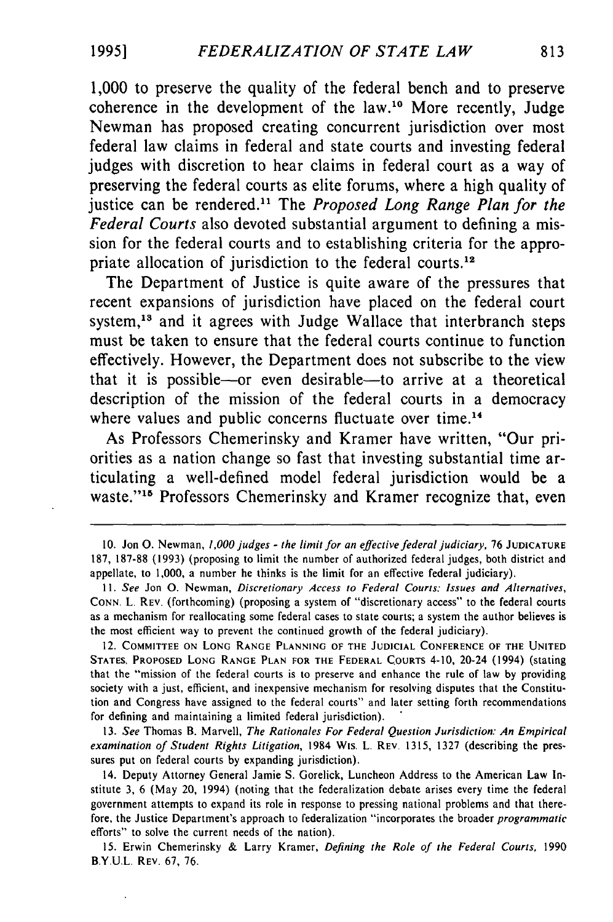1,000 to preserve the quality of the federal bench and to preserve coherence in the development of the law.<sup>10</sup> More recently, Judge Newman has proposed creating concurrent jurisdiction over most federal law claims in federal and state courts and investing federal judges with discretion to hear claims in federal court as a way of preserving the federal courts as elite forums, where a high quality of justice can be rendered." The *Proposed Long Range Plan for the Federal Courts* also devoted substantial argument to defining a mission for the federal courts and to establishing criteria for the appropriate allocation of jurisdiction to the federal courts.<sup>12</sup>

The Department of Justice is quite aware of the pressures that recent expansions of jurisdiction have placed on the federal court system,<sup>13</sup> and it agrees with Judge Wallace that interbranch steps must be taken to ensure that the federal courts continue to function effectively. However, the Department does not subscribe to the view that it is possible-or even desirable-to arrive at a theoretical description of the mission of the federal courts in a democracy where values and public concerns fluctuate over time.<sup>14</sup>

As Professors Chemerinsky and Kramer have written, "Our priorities as a nation change so fast that investing substantial time articulating a well-defined model federal jurisdiction would be a waste."<sup>15</sup> Professors Chemerinsky and Kramer recognize that, even

13. *See* Thomas B. Marvell, *The Rationales For Federal Question Jurisdiction: An Empirical examination of Student Rights Litigation,* 1984 Wis. L. REV. 1315, 1327 (describing the pressures put on federal courts **by** expanding jurisdiction).

14. Deputy Attorney General Jamie **S.** Gorelick, Luncheon Address to the American Law Institute 3, 6 (May 20, 1994) (noting that the federalization debate arises every time the federal government attempts to expand its role in response to pressing national problems and that therefore, the Justice Department's approach to federalization "incorporates the broader *programmatic* efforts" to solve the current needs of the nation).

15. Erwin Chemerinsky & Larry Kramer, *Defining the Role of the Federal Courts,* 1990 B.Y.U.L. REV. 67, 76.

<sup>10.</sup> Jon **0.** Newman, 1,000judges - the limit for an effective federal judiciary, <sup>76</sup>**JUDICATURE** 187, 187-88 (1993) (proposing to limit the number of authorized federal judges, both district and appellate, to 1,000, a number he thinks is the limit for an effective federal judiciary).

*II. See* Jon **0.** Newman, *Discretionary Access to Federal Courts: Issues and Alternatives,* **CONN.** L. REV. (forthcoming) (proposing a system of "discretionary access" to the federal courts as a mechanism for reallocating some federal cases to state courts; a system the author believes is the most efficient way to prevent the continued growth of the federal judiciary).

<sup>12.</sup> COMMITTEE **ON LONG RANGE PLANNING** OF THE **JUDICIAL CONFERENCE** OF THE **UNITED STATES,** PROPOSED **LONG RANGE PLAN FOR THE** FEDERAL COURTS 4-10, 20-24 (1994) (stating that the "mission of the federal courts is to preserve and enhance the rule of law **by** providing society with a just, efficient, and inexpensive mechanism for resolving disputes that the Constitution and Congress have assigned to the federal courts" and later setting forth recommendations for defining and maintaining a limited federal jurisdiction).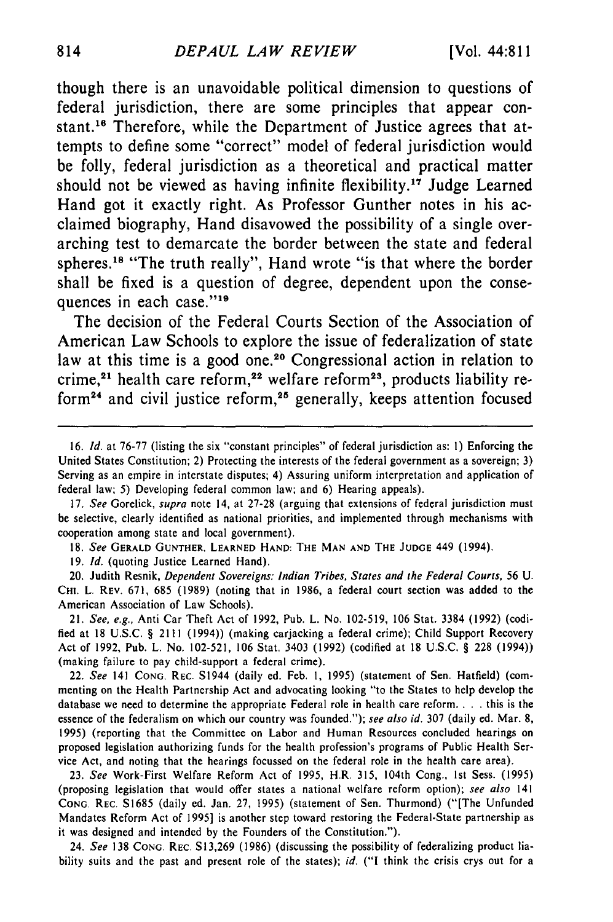though there is an unavoidable political dimension to questions of federal jurisdiction, there are some principles that appear constant.16 Therefore, while the Department of Justice agrees that attempts to define some "correct" model of federal jurisdiction would be folly, federal jurisdiction as a theoretical and practical matter should not be viewed as having infinite flexibility.<sup>17</sup> Judge Learned Hand got it exactly right. As Professor Gunther notes in his acclaimed biography, Hand disavowed the possibility of a single overarching test to demarcate the border between the state and federal spheres.<sup>18</sup> "The truth really", Hand wrote "is that where the border shall be fixed is a question of degree, dependent upon the consequences in each case."<sup>19</sup>

The decision of the Federal Courts Section of the Association of American Law Schools to explore the issue of federalization of state law at this time is a good one.<sup>20</sup> Congressional action in relation to crime, $^{21}$  health care reform, $^{22}$  welfare reform $^{23}$ , products liability reform<sup>24</sup> and civil justice reform,<sup>25</sup> generally, keeps attention focused

18. *See* GERALD **GUNTHER. LEARNED** HAND: THE MAN **AND** THE **JUDGE** 449 (1994).

**19.** *Id.* (quoting Justice Learned Hand).

20. Judith Resnik, *Dependent Sovereigns: Indian Tribes, States and the Federal Courts*, 56 U. **CHI. L. REV. 671,** 685 (1989) (noting that in **1986,** a federal court section was added to the American Association of Law Schools).

21. See, e.g., Anti Car Theft Act of **1992,** Pub. L. No. 102-519, 106 Stat. **3384** (1992) (codified at **18** U.S.C. § 2111 (1994)) (making carjacking a federal crime); Child Support Recovery Act of **1992,** Pub. L. No. **102-521, 106** Stat. 3403 (1992) (codified at **18** U.S.C. § **228** (1994)) (making failure to pay child-support a federal crime).

22. **See** 141 **CONG.** REC. S1944 (daily ed. Feb. **1,** 1995) (statement of Sen. Hatfield) (commenting on the Health Partnership Act and advocating looking "to the States to help develop the database we need to determine the appropriate Federal role in health care reform. . **.** . this is the essence of the federalism on which our country was founded."); **see also id. 307** (daily ed. Mar. 8, **1995)** (reporting that the Committee on Labor and Human Resources concluded hearings on proposed legislation authorizing funds for the health profession's programs of Public Health Service Act, and noting that the hearings focussed on the federal role in the health care area).

**23. See** Work-First Welfare Reform Act of 1995, **HR. 315,** 104th Cong., **1st** Sess. (1995) (proposing legislation that would offer states a national welfare reform option); see also 141 CONG. REC. S1685 (daily ed. Jan. 27, 1995) (statement of Sen. Thurmond) ("[The Unfunded Mandates Reform Act of 1995] is another step toward restoring the Federal-State partnership as it was designed and intended by the Founders of the Constitution.").

24. See 138 CONG. REC. S13,269 (1986) (discussing the possibility of federalizing product liability suits and the past and present role of the states); id. **("I** think the crisis crys out for a

<sup>16.</sup> *Id.* at 76-77 (listing the six "constant principles" of federal jurisdiction as: **1)** Enforcing the United States Constitution; 2) Protecting the interests of the federal government as a sovereign; 3) Serving as an empire in interstate disputes; 4) Assuring uniform interpretation and application of federal law; 5) Developing federal common law; and 6) Hearing appeals).

<sup>17.</sup> *See* Gorelick, *supra* note 14, at 27-28 (arguing that extensions of federal jurisdiction must be selective, clearly identified as national priorities, and implemented through mechanisms with cooperation among state and local government).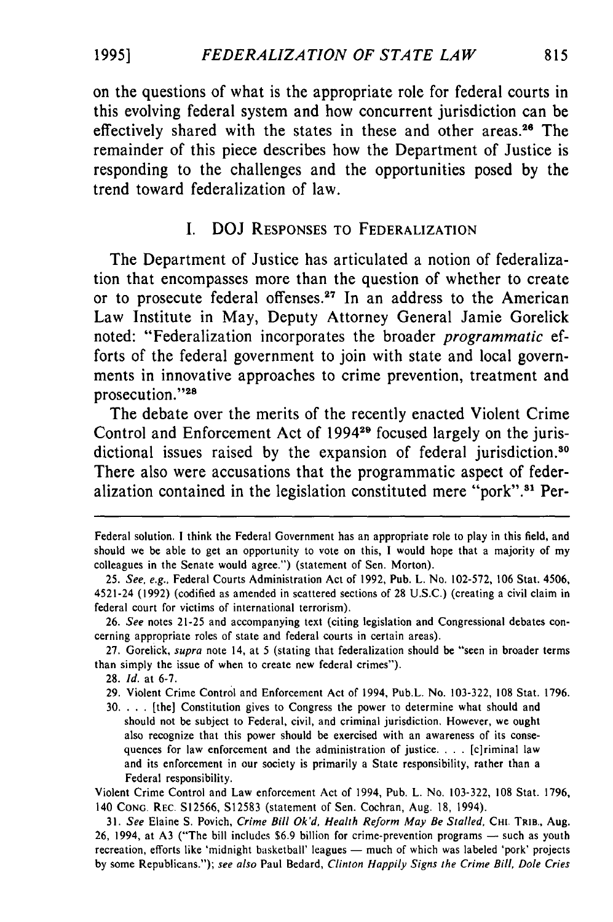on the questions of what is the appropriate role for federal courts in this evolving federal system and how concurrent jurisdiction can be effectively shared with the states in these and other areas.<sup>26</sup> The remainder of this piece describes how the Department of Justice is responding to the challenges and the opportunities posed **by** the trend toward federalization of law.

### I. DOJ **RESPONSES** TO FEDERALIZATION

The Department of Justice has articulated a notion of federalization that encompasses more than the question of whether to create or to prosecute federal offenses.<sup>27</sup> In an address to the American Law Institute in May, Deputy Attorney General Jamie Gorelick noted: "Federalization incorporates the broader *programmatic* efforts of the federal government to join with state and local governments in innovative approaches to crime prevention, treatment and prosecution."28

The debate over the merits of the recently enacted Violent Crime Control and Enforcement Act of **199429** focused largely on the jurisdictional issues raised by the expansion of federal jurisdiction.<sup>30</sup> There also were accusations that the programmatic aspect of federalization contained in the legislation constituted mere "pork".<sup>31</sup> Per-

- 29. Violent Crime Control and Enforcement Act of 1994, Pub.L. No. 103-322, **108** Stat. 1796.
- **30.** . **.** . [the] Constitution gives to Congress the power to determine what should and should not be subject to Federal, civil, and criminal jurisdiction. However, we ought also recognize that this power should be exercised with an awareness of its consequences for law enforcement and the administration of justice. . **.** . [c]riminal law and its enforcement in our society is primarily a State responsibility, rather than a Federal responsibility.

Violent Crime Control and Law enforcement Act of 1994, Pub. L. No. 103-322, **108** Stat. 1796, 140 **CONG.** REC. S12566, S12583 (statement of Sen. Cochran, Aug. **18,** 1994).

Federal solution. **I** think the Federal Government has an appropriate role to play in this field, and should we be able to get an opportunity to vote on this, I would hope that a majority of my colleagues in the Senate would agree.") (statement of Sen. Morton).

<sup>25.</sup> See, e.g., Federal Courts Administration Act of 1992, Pub. L. No. 102-572, 106 Stat. 4506, 4521-24 (1992) (codified as amended in scattered sections of 28 U.S.C.) (creating a civil claim in federal court for victims of international terrorism).

<sup>26.</sup> See notes 21-25 and accompanying text (citing legislation and Congressional debates concerning appropriate roles of state and federal courts in certain areas).

<sup>27.</sup> Gorelick, supra note 14, at 5 (stating that federalization should be "seen in broader terms than simply the issue of when to create new federal crimes").

<sup>28.</sup> Id. at 6-7.

<sup>31.</sup> See Elaine S. Povich, Crime Bill Ok'd, Health Reform May Be Stalled, CHI. TRIB., Aug. 26, 1994, at A3 ("The bill includes \$6.9 billion for crime-prevention programs — such as youth recreation, efforts like 'midnight basketball' leagues — much of which was labeled 'pork' projects by some Republicans."); see also Paul Bedard, Clinton Happily Signs the Crime Bill, Dole Cries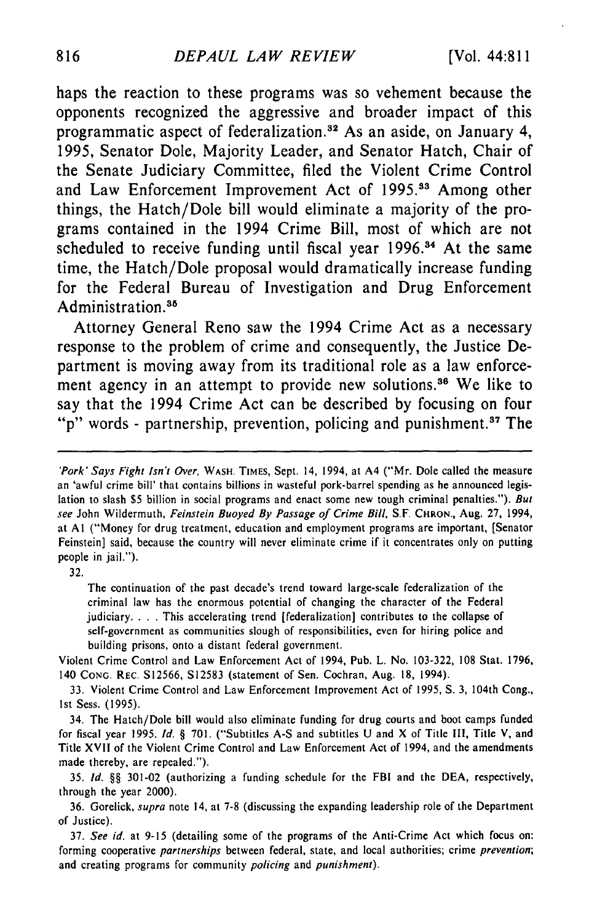haps the reaction to these programs was so vehement because the opponents recognized the aggressive and broader impact of this programmatic aspect of federalization.<sup>32</sup> As an aside, on January 4, **1995,** Senator Dole, Majority Leader, and Senator Hatch, Chair of the Senate Judiciary Committee, filed the Violent Crime Control and Law Enforcement Improvement Act of **1995.1a** Among other things, the Hatch/Dole bill would eliminate a majority of the programs contained in the 1994 Crime Bill, most of which are not scheduled to receive funding until fiscal year 1996.<sup>34</sup> At the same time, the Hatch/Dole proposal would dramatically increase funding for the Federal Bureau of Investigation and Drug Enforcement Administration.<sup>35</sup>

Attorney General Reno saw the 1994 Crime Act as a necessary response to the problem of crime and consequently, the Justice Department is moving away from its traditional role as a law enforcement agency in an attempt to provide new solutions.<sup>36</sup> We like to say that the 1994 Crime Act can be described **by** focusing on four "p" words - partnership, prevention, policing and punishment.<sup>87</sup> The

32.

The continuation of the past decade's trend toward large-scale federalization of the criminal law has the enormous potential of changing the character of the Federal judiciary. . . . This accelerating trend [federalization] contributes to the collapse of self-government as communities slough of responsibilities, even for hiring police and building prisons, onto a distant federal government.

Violent Crime Control and Law Enforcement Act of 1994, Pub. L. No. 103-322, 108 Stat. 1796, 140 **CONG.** REC. S12566, S12583 (statement of Sen. Cochran, Aug. 18, 1994).

33. Violent Crime Control and Law Enforcement Improvement Act of 1995, **S.** 3, 104th Cong., Ist Sess. (1995).

34. The Hatch/Dole bill would also eliminate funding for drug courts and boot camps funded for fiscal year 1995. **Id.** § 701. ("Subtitles A-S and subtitles U and X of Title III, Title V, and Title XVII of the Violent Crime Control and Law Enforcement Act of 1994, and the amendments made thereby, are repealed.").

35. **Id.** §§ 301-02 (authorizing a funding schedule for the FBI and the DEA, respectively, through the year 2000).

36. Gorelick, supra note 14, at 7-8 (discussing the expanding leadership role of the Department **of** Justice).

37. See id. at 9-15 (detailing some of the programs of the Anti-Crime Act which focus on: forming cooperative partnerships between federal, state, and local authorities; crime prevention; and creating programs for community policing and punishment).

<sup>&#</sup>x27;Pork' Says Fight Isn't Over, WASH. TIMES, Sept. 14, 1994, at A4 ("Mr. Dole called the measure an 'awful crime bill' that contains billions in wasteful pork-barrel spending as he announced legislation to slash \$5 billion in social programs and enact some new tough criminal penalties."). But see John Wildermuth, Feinstein Buoyed By Passage of Crime Bill, S.F. CHRON., Aug. 27, 1994, at **Al** ("Money for drug treatment, education and employment programs are important, [Senator Feinstein] said, because the country will never eliminate crime if it concentrates only on putting people in jail.").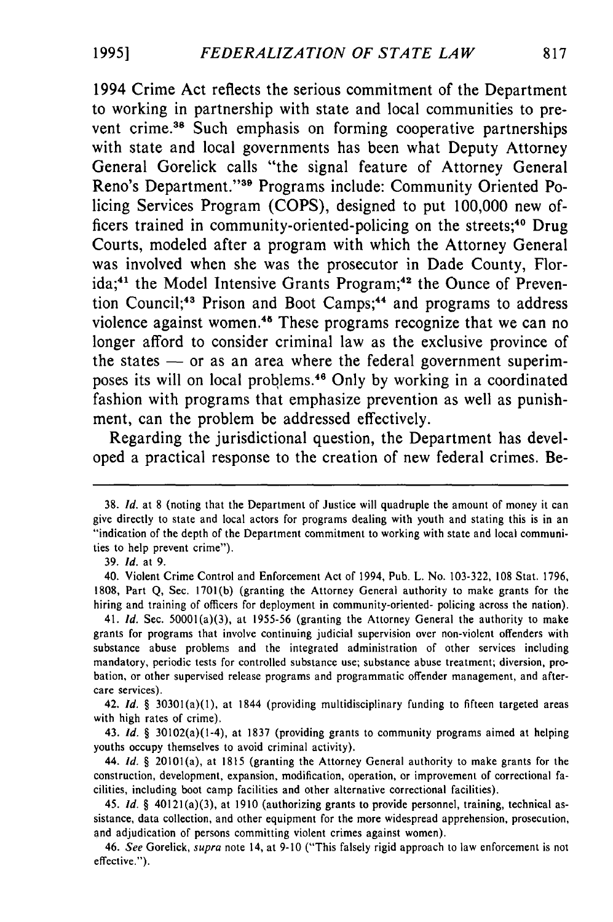1994 Crime Act reflects the serious commitment of the Department to working in partnership with state and local communities to prevent crime.<sup>38</sup> Such emphasis on forming cooperative partnerships with state and local governments has been what Deputy Attorney General Gorelick calls "the signal feature of Attorney General Reno's Department."<sup>39</sup> Programs include: Community Oriented Policing Services Program **(COPS),** designed to put **100,000** new officers trained in community-oriented-policing on the streets;<sup>40</sup> Drug Courts, modeled after a program with which the Attorney General was involved when she was the prosecutor in Dade County, Florida;<sup>41</sup> the Model Intensive Grants Program;<sup>42</sup> the Ounce of Prevention Council;<sup>43</sup> Prison and Boot Camps;<sup>44</sup> and programs to address violence against women.<sup>45</sup> These programs recognize that we can no longer afford to consider criminal law as the exclusive province of the states **-** or as an area where the federal government superimposes its will on local problems.46 Only **by** working in a coordinated fashion with programs that emphasize prevention as well as punishment, can the problem be addressed effectively.

Regarding the jurisdictional question, the Department has developed a practical response to the creation of new federal crimes. Be-

**<sup>38.</sup>** *Id.* at 8 (noting that the Department of Justice will quadruple the amount of money it can give directly to state and local actors for programs dealing with youth and stating this is in an "indication of the depth of the Department commitment to working with state and local communities to help prevent crime").

<sup>39.</sup> *Id.* at 9.

<sup>40.</sup> Violent Crime Control and Enforcement Act of 1994, Pub. L. No. 103-322, 108 Stat. 1796, 1808, Part Q, Sec. 1701(b) (granting the Attorney General authority to make grants for the hiring and training of officers for deployment in community-oriented- policing across the nation).

<sup>41.</sup> *Id.* Sec. 50001(a)(3), at 1955-56 (granting the Attorney General the authority to make grants for programs that involve continuing judicial supervision over non-violent offenders with substance abuse problems and the integrated administration of other services including mandatory, periodic tests for controlled substance use; substance abuse treatment; diversion, probation, or other supervised release programs and programmatic offender management, and aftercare services).

<sup>42.</sup> *Id. §* 30301(a)(1), at 1844 (providing multidisciplinary funding to fifteen targeted areas with high rates of crime),

<sup>43.</sup> *Id. §* 30102(a)(1-4), at 1837 (providing grants to community programs aimed at helping youths occupy themselves to avoid criminal activity).

<sup>44.</sup> *Id. §* 20101(a), at 1815 (granting the Attorney General authority to make grants for the construction, development, expansion, modification, operation, or improvement of correctional facilities, including boot camp facilities and other alternative correctional facilities).

<sup>45.</sup> *Id. §* 40121(a)(3), at 1910 (authorizing grants to provide personnel, training, technical assistance, data collection, and other equipment for the more widespread apprehension, prosecution, and adjudication of persons committing violent crimes against women).

<sup>46.</sup> See Gorelick, supra note 14, at 9-10 ("This falsely rigid approach to law enforcement is not effective.").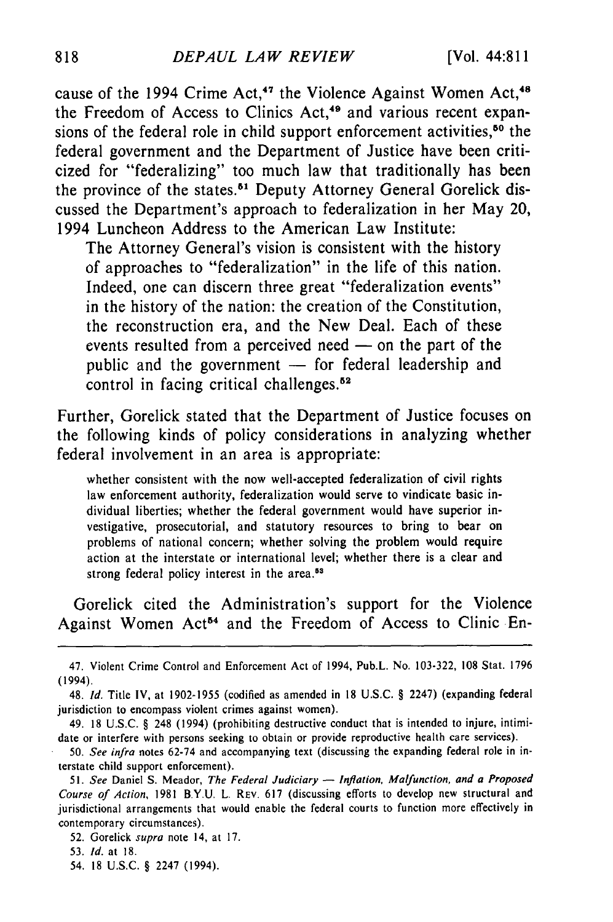cause of the 1994 Crime Act,<sup>47</sup> the Violence Against Women Act,<sup>48</sup> the Freedom of Access to Clinics Act,<sup>49</sup> and various recent expansions of the federal role in child support enforcement activities,<sup>50</sup> the federal government and the Department of Justice have been criticized for "federalizing" too much law that traditionally has been the province of the states.<sup>51</sup> Deputy Attorney General Gorelick discussed the Department's approach to federalization in her May 20, 1994 Luncheon Address to the American Law Institute:

The Attorney General's vision is consistent with the history of approaches to "federalization" in the life of this nation. Indeed, one can discern three great "federalization events" in the history of the nation: the creation of the Constitution, the reconstruction era, and the New Deal. Each of these events resulted from a perceived need  $-$  on the part of the public and the government  $-$  for federal leadership and control in facing critical challenges.<sup>52</sup>

Further, Gorelick stated that the Department of Justice focuses on the following kinds of policy considerations in analyzing whether federal involvement in an area is appropriate:

whether consistent with the now well-accepted federalization of civil rights law enforcement authority, federalization would serve to vindicate basic individual liberties; whether the federal government would have superior investigative, prosecutorial, and statutory resources to bring to bear on problems of national concern; whether solving the problem would require action at the interstate or international level; whether there is a clear and strong federal policy interest in the **area.5 <sup>3</sup>**

Gorelick cited the Administration's support for the Violence Against Women Act<sup>54</sup> and the Freedom of Access to Clinic En-

<sup>47.</sup> Violent Crime Control and Enforcement Act of 1994, Pub.L. No. 103-322, 108 Stat. 1796 (1994).

<sup>48.</sup> **Id.** Title IV, at 1902-1955 (codified as amended in 18 U.S.C. § 2247) (expanding federal jurisdiction to encompass violent crimes against women).

<sup>49. 18</sup> U.S.C. § 248 (1994) (prohibiting destructive conduct that is intended to injure, intimidate or interfere with persons seeking to obtain or provide reproductive health care services).

<sup>50.</sup> See infra notes 62-74 and accompanying text (discussing the expanding federal role in interstate child support enforcement).

<sup>51.</sup> See Daniel S. Meador, The Federal Judiciary - Inflation, Malfunction, and a Proposed Course *of* Action, 1981 B.Y.U. L. REV. 617 (discussing efforts to develop new structural and jurisdictional arrangements that would enable the federal courts to function more effectively in contemporary circumstances).

<sup>52.</sup> Gorelick supra note 14, at 17.

<sup>53.</sup> **Id.** at 18.

<sup>54. 18</sup> U.S.C. § 2247 (1994).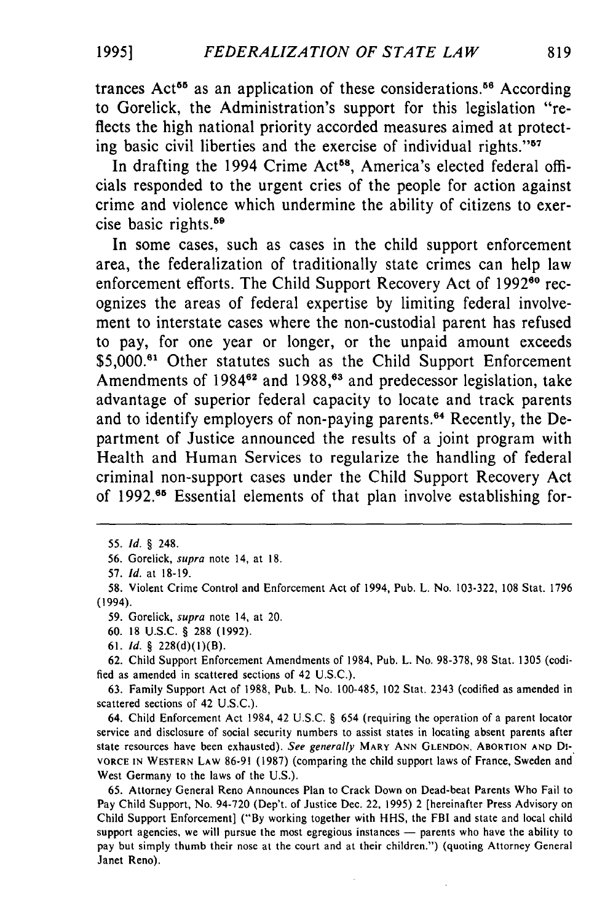trances  $Act^{55}$  as an application of these considerations.<sup>56</sup> According to Gorelick, the Administration's support for this legislation "reflects the high national priority accorded measures aimed at protecting basic civil liberties and the exercise of individual rights."<sup>57</sup>

In drafting the 1994 Crime Act<sup>58</sup>, America's elected federal officials responded to the urgent cries of the people for action against crime and violence which undermine the ability of citizens to exercise basic rights.<sup>59</sup>

In some cases, such as cases in the child support enforcement area, the federalization of traditionally state crimes can help law enforcement efforts. The Child Support Recovery Act of 1992<sup>60</sup> recognizes the areas of federal expertise by limiting federal involvement to interstate cases where the non-custodial parent has refused to pay, for one year or longer, or the unpaid amount exceeds \$5,000.<sup>61</sup> Other statutes such as the Child Support Enforcement Amendments of 1984<sup>62</sup> and 1988,<sup>63</sup> and predecessor legislation, take advantage of superior federal capacity to locate and track parents and to identify employers of non-paying parents.<sup>64</sup> Recently, the Department of Justice announced the results of a joint program with Health and Human Services to regularize the handling of federal criminal non-support cases under the Child Support Recovery Act of 1992.<sup>65</sup> Essential elements of that plan involve establishing for-

63. Family Support Act of 1988, Pub. L. No. 100-485, 102 Stat. 2343 (codified as amended in scattered sections of 42 U.S.C.).

64. Child Enforcement Act 1984, 42 U.S.C. *§* 654 (requiring the operation of a parent locator service and disclosure of social security numbers to assist states in locating absent parents after state resources have been exhausted). See generally MARY ANN GLENDON. ABORTION **AND DI-**VORCE IN WESTERN LAW 86-91 (1987) (comparing the child support laws of France, Sweden and West Germany to the laws of the U.S.).

65. Attorney General Reno Announces Plan to Crack Down on Dead-beat Parents Who Fail to Pay Child Support, No. 94-720 (Dep't. of Justice Dec. 22, 1995) 2 [hereinafter Press Advisory on Child Support Enforcement] ("By working together with **HHS,** the FBI and state and local child support agencies, we will pursue the most egregious instances — parents who have the ability to pay but simply thumb their nose at the court and at their children.") (quoting Attorney General Janet Reno).

**19951**

<sup>55.</sup> *Id. §* 248.

<sup>56.</sup> Gorelick, supra note 14, at 18.

<sup>57.</sup> *Id.* at 18-19.

<sup>58.</sup> Violent Crime Control and Enforcement Act of 1994, Pub. L. No. 103-322, 108 Stat. 1796 (1994).

<sup>59.</sup> Gorelick, supra note 14, at 20.

<sup>60. 18</sup> U.S.C. § 288 (1992).

<sup>61.</sup> *Id. §* 228(d)(1)(B).

<sup>62.</sup> Child Support Enforcement Amendments of 1984, Pub. L. No. 98-378, 98 Stat. 1305 (codified as amended in scattered sections of 42 U.S.C.).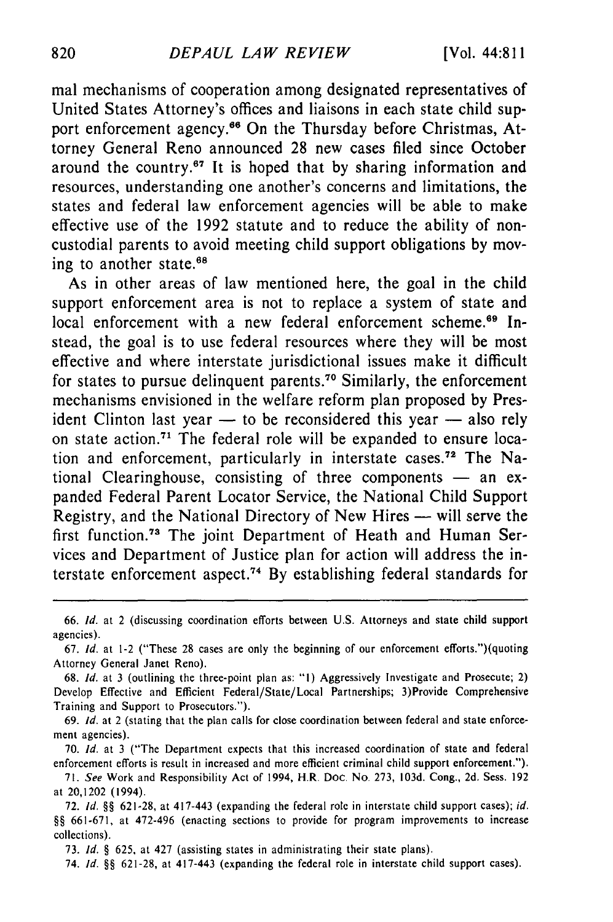mal mechanisms of cooperation among designated representatives of United States Attorney's offices and liaisons in each state child support enforcement agency.<sup>66</sup> On the Thursday before Christmas, Attorney General Reno announced **28** new cases filed since October around the country.<sup>67</sup> It is hoped that by sharing information and resources, understanding one another's concerns and limitations, the states and federal law enforcement agencies will be able to make effective use of the **1992** statute and to reduce the ability of noncustodial parents to avoid meeting child support obligations **by** moving to another state.<sup>68</sup>

As in other areas of law mentioned here, the goal in the child support enforcement area is not to replace a system of state and local enforcement with a new federal enforcement scheme.<sup>69</sup> Instead, the goal is to use federal resources where they will be most effective and where interstate jurisdictional issues make it difficult for states to pursue delinquent parents.<sup>70</sup> Similarly, the enforcement mechanisms envisioned in the welfare reform plan proposed **by** President Clinton last year **-** to be reconsidered this year **-** also rely on state action.<sup>71</sup> The federal role will be expanded to ensure location and enforcement, particularly in interstate cases **. 7** The National Clearinghouse, consisting of three components - an expanded Federal Parent Locator Service, the National Child Support Registry, and the National Directory of New Hires **-** will serve the first function.<sup>73</sup> The joint Department of Heath and Human Services and Department of Justice plan for action will address the interstate enforcement aspect.<sup>74</sup> By establishing federal standards for

69. *Id.* at 2 (stating that the plan calls for close coordination between federal and state enforce**ment** agencies).

70. *Id.* at 3 ("The Department expects that this increased coordination of state and federal enforcement efforts is result in increased and more efficient criminal child support enforcement.").

73. *Id.* **§** 625, at 427 (assisting states in administrating their state plans).

74. *Id.* **§§** 621-28, at 417-443 (expanding the federal role in interstate child support cases).

**<sup>66.</sup>** *Id.* at 2 (discussing coordination efforts between **U.S.** Attorneys and state child support agencies).

**<sup>67.</sup>** *Id.* at 1-2 ("These 28 cases are only the beginning of our enforcement efforts.")(quoting Attorney General Janet Reno).

<sup>68.</sup> *Id.* at 3 (outlining the three-point plan as: **"l)** Aggressively Investigate and Prosecute; 2) Develop Effective and Efficient Federal/State/Local Partnerships; 3)Provide Comprehensive Training and Support to Prosecutors.").

<sup>71.</sup> *See* Work and Responsibility Act of 1994, HR. Doc. No. 273, 103d. Cong., 2d. Sess. 192 at 20,1202 (1994).

<sup>72.</sup> *Id.* **§§** 621-28, at 417-443 (expanding the federal role in interstate child support cases); *id.* **§§** 661-671, at 472-496 (enacting sections to provide for program improvements to increase collections).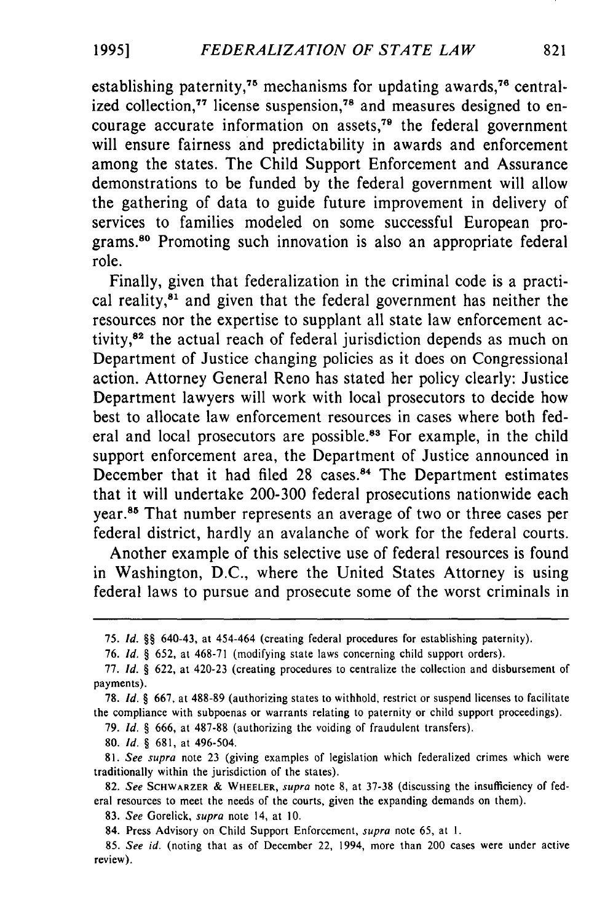establishing paternity,<sup>75</sup> mechanisms for updating awards,<sup>76</sup> centralized collection,<sup>77</sup> license suspension,<sup>78</sup> and measures designed to encourage accurate information on assets,<sup> $79$ </sup> the federal government will ensure fairness and predictability in awards and enforcement among the states. The Child Support Enforcement and Assurance demonstrations to be funded by the federal government will allow the gathering of data to guide future improvement in delivery of services to families modeled on some successful European programs.80 Promoting such innovation is also an appropriate federal role.

Finally, given that federalization in the criminal code is a practical reality, $8<sup>1</sup>$  and given that the federal government has neither the resources nor the expertise to supplant all state law enforcement activity,82 the actual reach of federal jurisdiction depends as much on Department of Justice changing policies as it does on Congressional action. Attorney General Reno has stated her policy clearly: Justice Department lawyers will work with local prosecutors to decide how best to allocate law enforcement resources in cases where both federal and local prosecutors are possible.<sup>83</sup> For example, in the child support enforcement area, the Department of Justice announced in December that it had filed 28 cases.<sup>84</sup> The Department estimates that it will undertake 200-300 federal prosecutions nationwide each year.<sup>85</sup> That number represents an average of two or three cases per federal district, hardly an avalanche of work for the federal courts.

Another example of this selective use of federal resources is found in Washington, D.C., where the United States Attorney is using federal laws to pursue and prosecute some of the worst criminals in

79. *Id. §* 666, at 487-88 (authorizing the voiding of fraudulent transfers).

80. *Id. §* 681, at 496-504.

<sup>75.</sup> *Id. §§* 640-43, at 454-464 (creating federal procedures for establishing paternity).

**<sup>76.</sup>** *Id.* § 652, at 468-71 (modifying state laws concerning child support orders).

<sup>77.</sup> *Id. §* 622, at 420-23 (creating procedures to centralize the collection and disbursement of payments).

<sup>78.</sup> *Id.* § 667, at 488-89 (authorizing states to withhold, restrict or suspend licenses to facilitate the compliance with subpoenas or warrants relating to paternity or child support proceedings).

<sup>81.</sup> See supra note 23 (giving examples of legislation which federalized crimes which were traditionally within the jurisdiction of the states).

<sup>82.</sup> *See* SCHWARZER **&** WHEELER, *supra* note 8, at 37-38 (discussing the insufficiency of federal resources to meet the needs of the courts, given the expanding demands on them).

<sup>83.</sup> *See* Gorelick, *supra* note 14, at 10.

<sup>84.</sup> Press Advisory on Child Support Enforcement, *supra* note 65, at **1.**

<sup>85.</sup> *See id.* (noting that as of December 22, 1994, more than 200 cases were under active review).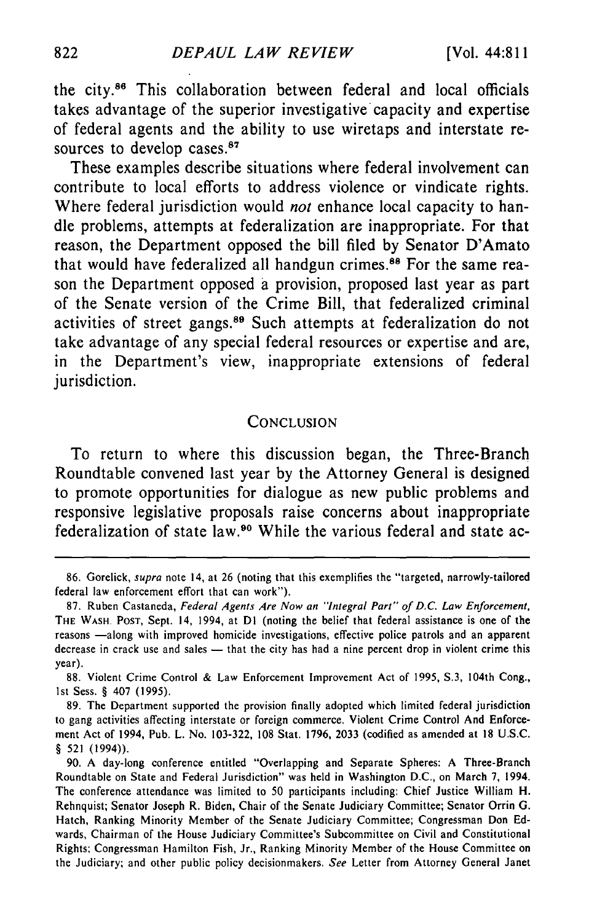the city.<sup>86</sup> This collaboration between federal and local officials takes advantage of the superior investigative capacity and expertise of federal agents and the ability to use wiretaps and interstate resources to develop cases.<sup>87</sup>

These examples describe situations where federal involvement can contribute to local efforts to address violence or vindicate rights. Where federal jurisdiction would *not* enhance local capacity to handle problems, attempts at federalization are inappropriate. For that reason, the Department opposed the bill filed **by** Senator D'Amato that would have federalized all handgun crimes.<sup>88</sup> For the same reason the Department opposed **a** provision, proposed last year as part of the Senate version of the Crime Bill, that federalized criminal activities of street gangs.89 Such attempts at federalization do not take advantage of any special federal resources or expertise and are, in the Department's view, inappropriate extensions of federal jurisdiction.

#### **CONCLUSION**

To return to where this discussion began, the Three-Branch Roundtable convened last year **by** the Attorney General is designed to promote opportunities for dialogue as new public problems and responsive legislative proposals raise concerns about inappropriate federalization of state law.90 While the various federal and state ac-

**<sup>86.</sup>** Gorelick, *supra* note 14, at 26 (noting that this exemplifies the "targeted, narrowly-tailored federal law enforcement effort that can work").

<sup>87.</sup> Ruben Castaneda, *Federal Agents Are Now an "Integral Part" of D.C. Law Enforcement,* THE WASH. POST, Sept. 14, 1994, at **DI** (noting the belief that federal assistance is one of the reasons -along with improved homicide investigations, effective police patrols and an apparent decrease in crack use and sales **-** that the city has had a nine percent drop in violent crime this year).

**<sup>88.</sup>** Violent Crime Control & Law Enforcement Improvement Act of 1995, S.3, 104th Cong., 1st Sess. § 407 (1995).

<sup>89.</sup> The Department supported the provision finally adopted which limited federal jurisdiction to gang activities affecting interstate or foreign commerce. Violent Crime Control And Enforcement Act of 1994, Pub. L. No. 103-322, 108 Stat. 1796, 2033 (codified as amended at 18 U.S.C. § 521 (1994)).

<sup>90.</sup> A day-long conference entitled "Overlapping and Separate Spheres: A Three-Branch Roundtable on State and Federal Jurisdiction" was held in Washington D.C., on March 7, 1994. The conference attendance was limited to 50 participants including: Chief Justice William H. Rehnquist; Senator Joseph R. Biden, Chair of the Senate Judiciary Committee; Senator Orrin G. Hatch, Ranking Minority Member of the Senate Judiciary Committee; Congressman Don Edwards, Chairman of the House Judiciary Committee's Subcommittee on Civil and Constitutional Rights; Congressman Hamilton Fish, Jr., Ranking Minority Member of the House Committee on the Judiciary; and other public policy decisionmakers. *See* Letter from Attorney General Janet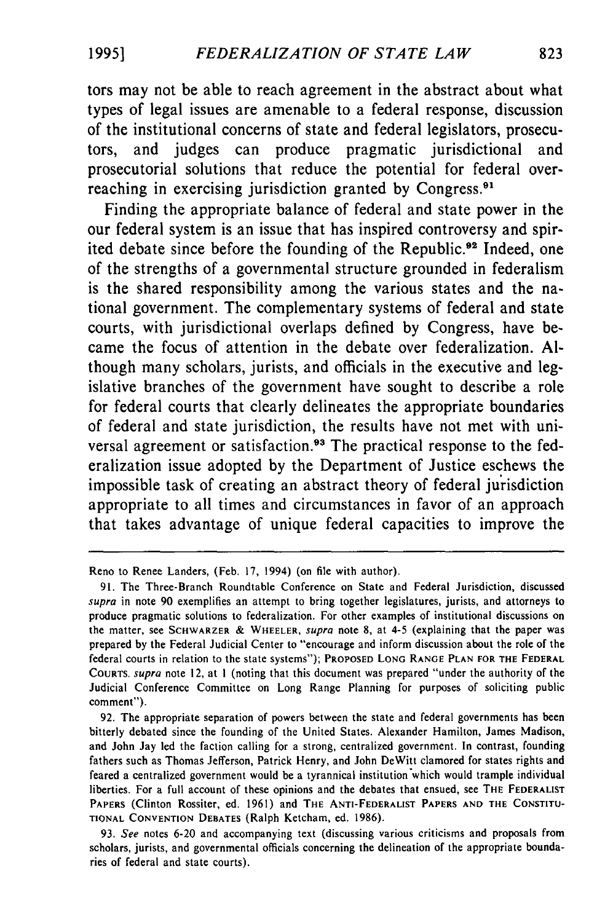tors may not be able to reach agreement in the abstract about what types of legal issues are amenable to a federal response, discussion of the institutional concerns of state and federal legislators, prosecutors, and judges can produce pragmatic jurisdictional and prosecutorial solutions that reduce the potential for federal overreaching in exercising jurisdiction granted by Congress.<sup>91</sup>

Finding the appropriate balance of federal and state power in the our federal system is an issue that has inspired controversy and spirited debate since before the founding of the Republic.<sup>92</sup> Indeed, one of the strengths of a governmental structure grounded in federalism is the shared responsibility among the various states and the national government. The complementary systems of federal and state courts, with jurisdictional overlaps defined by Congress, have became the focus of attention in the debate over federalization. Although many scholars, jurists, and officials in the executive and legislative branches of the government have sought to describe a role for federal courts that clearly delineates the appropriate boundaries of federal and state jurisdiction, the results have not met with universal agreement or satisfaction.<sup>93</sup> The practical response to the federalization issue adopted by the Department of Justice eschews the impossible task of creating an abstract theory of federal jurisdiction appropriate to all times and circumstances in favor of an approach that takes advantage of unique federal capacities to improve the

Reno to Renee Landers, (Feb. 17, 1994) (on file with author).

<sup>91.</sup> The Three-Branch Roundtable Conference on State and Federal Jurisdiction, discussed supra in note 90 exemplifies an attempt to bring together legislatures, jurists, and attorneys to produce pragmatic solutions to federalization. For other examples of institutional discussions on the matter, see **SCHWARZER** & WHEELER, supra note **8,** at 4-5 (explaining that the paper was prepared **by** the Federal Judicial Center to "encourage and inform discussion about the role of the federal courts in relation to the state systems"); **PROPOSED LONG RANGE PLAN FOR THE FEDERAL COURTS.** supra note 12, at **I** (noting that this document was prepared "under the authority of the Judicial Conference Committee on Long Range Planning for purposes of soliciting public comment").

**<sup>92.</sup>** The appropriate separation of powers between the state and federal governments has been bitterly debated since the founding of the United States. Alexander Hamilton, James Madison, and John Jay led the faction calling for a strong, centralized government. In contrast, founding fathers such as Thomas Jefferson, Patrick Henry, and John DeWitt clamored for states rights and feared a centralized government would be a tyrannical institution which would trample individual liberties. For a full account of these opinions and the debates that ensued, see **THE FEDERALIST PAPERS** (Clinton Rossiter, ed. 1961) and **THE** ANTI-FEDERALIST PAPERS **AND THE CONSTITU-TIONAL CONVENTION DEBATES** (Ralph Ketcham, ed. 1986).

<sup>93.</sup> See notes 6-20 and accompanying text (discussing various criticisms and proposals from scholars, jurists, and governmental officials concerning the delineation of the appropriate boundaries of federal and state courts).